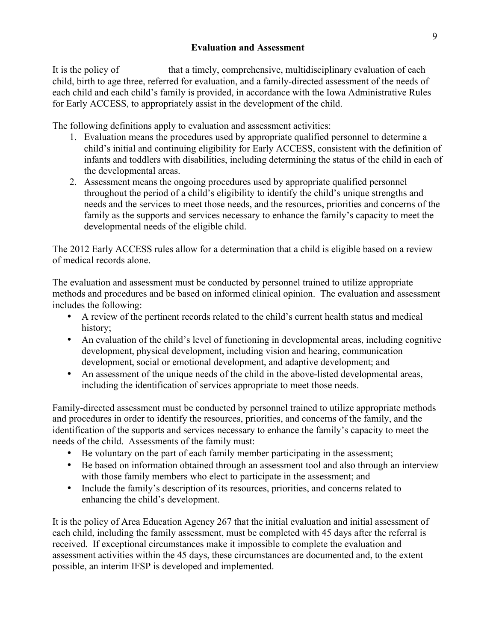### **Evaluation and Assessment**

It is the policy of the Agency that a timely, comprehensive, multidisciplinary evaluation of each child, birth to age three, referred for evaluation, and a family-directed assessment of the needs of each child and each child's family is provided, in accordance with the Iowa Administrative Rules for Early ACCESS, to appropriately assist in the development of the child.

The following definitions apply to evaluation and assessment activities:

- 1. Evaluation means the procedures used by appropriate qualified personnel to determine a child's initial and continuing eligibility for Early ACCESS, consistent with the definition of infants and toddlers with disabilities, including determining the status of the child in each of the developmental areas.
- 2. Assessment means the ongoing procedures used by appropriate qualified personnel throughout the period of a child's eligibility to identify the child's unique strengths and needs and the services to meet those needs, and the resources, priorities and concerns of the family as the supports and services necessary to enhance the family's capacity to meet the developmental needs of the eligible child.

The 2012 Early ACCESS rules allow for a determination that a child is eligible based on a review of medical records alone.

The evaluation and assessment must be conducted by personnel trained to utilize appropriate methods and procedures and be based on informed clinical opinion. The evaluation and assessment includes the following:

- A review of the pertinent records related to the child's current health status and medical history;
- An evaluation of the child's level of functioning in developmental areas, including cognitive development, physical development, including vision and hearing, communication development, social or emotional development, and adaptive development; and
- An assessment of the unique needs of the child in the above-listed developmental areas, including the identification of services appropriate to meet those needs.

Family-directed assessment must be conducted by personnel trained to utilize appropriate methods and procedures in order to identify the resources, priorities, and concerns of the family, and the identification of the supports and services necessary to enhance the family's capacity to meet the needs of the child. Assessments of the family must:

- Be voluntary on the part of each family member participating in the assessment;
- Be based on information obtained through an assessment tool and also through an interview with those family members who elect to participate in the assessment; and
- Include the family's description of its resources, priorities, and concerns related to enhancing the child's development.

It is the policy of Area Education Agency 267 that the initial evaluation and initial assessment of each child, including the family assessment, must be completed with 45 days after the referral is received. If exceptional circumstances make it impossible to complete the evaluation and assessment activities within the 45 days, these circumstances are documented and, to the extent possible, an interim IFSP is developed and implemented.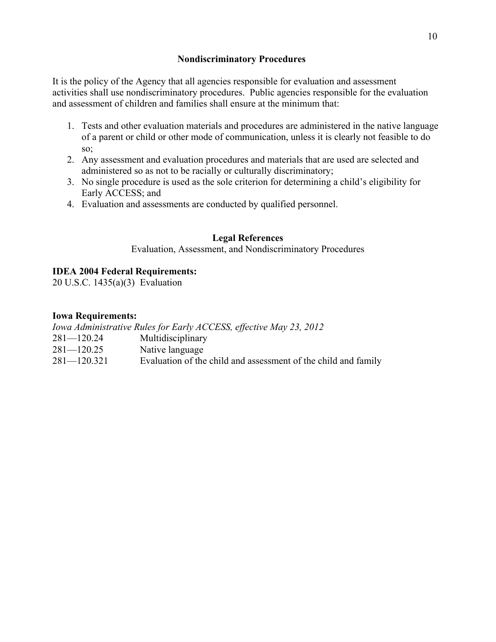### **Nondiscriminatory Procedures**

It is the policy of the Agency that all agencies responsible for evaluation and assessment activities shall use nondiscriminatory procedures. Public agencies responsible for the evaluation and assessment of children and families shall ensure at the minimum that:

- 1. Tests and other evaluation materials and procedures are administered in the native language of a parent or child or other mode of communication, unless it is clearly not feasible to do so:
- 2. Any assessment and evaluation procedures and materials that are used are selected and administered so as not to be racially or culturally discriminatory;
- 3. No single procedure is used as the sole criterion for determining a child's eligibility for Early ACCESS; and
- 4. Evaluation and assessments are conducted by qualified personnel.

# **Legal References**

Evaluation, Assessment, and Nondiscriminatory Procedures

# **IDEA 2004 Federal Requirements:**

20 U.S.C. 1435(a)(3) Evaluation

# **Iowa Requirements:**

*Iowa Administrative Rules for Early ACCESS, effective May 23, 2012*

- 281—120.24 Multidisciplinary
- 281—120.25 Native language
- 281—120.321 Evaluation of the child and assessment of the child and family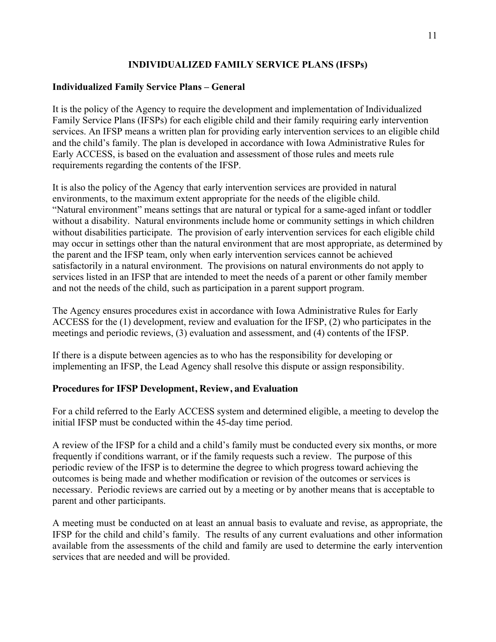# **INDIVIDUALIZED FAMILY SERVICE PLANS (IFSPs)**

### **Individualized Family Service Plans – General**

It is the policy of the Agency to require the development and implementation of Individualized Family Service Plans (IFSPs) for each eligible child and their family requiring early intervention services. An IFSP means a written plan for providing early intervention services to an eligible child and the child's family. The plan is developed in accordance with Iowa Administrative Rules for Early ACCESS, is based on the evaluation and assessment of those rules and meets rule requirements regarding the contents of the IFSP.

It is also the policy of the Agency that early intervention services are provided in natural environments, to the maximum extent appropriate for the needs of the eligible child. "Natural environment" means settings that are natural or typical for a same-aged infant or toddler without a disability. Natural environments include home or community settings in which children without disabilities participate. The provision of early intervention services for each eligible child may occur in settings other than the natural environment that are most appropriate, as determined by the parent and the IFSP team, only when early intervention services cannot be achieved satisfactorily in a natural environment. The provisions on natural environments do not apply to services listed in an IFSP that are intended to meet the needs of a parent or other family member and not the needs of the child, such as participation in a parent support program.

The Agency ensures procedures exist in accordance with Iowa Administrative Rules for Early ACCESS for the (1) development, review and evaluation for the IFSP, (2) who participates in the meetings and periodic reviews, (3) evaluation and assessment, and (4) contents of the IFSP.

If there is a dispute between agencies as to who has the responsibility for developing or implementing an IFSP, the Lead Agency shall resolve this dispute or assign responsibility.

# **Procedures for IFSP Development, Review, and Evaluation**

For a child referred to the Early ACCESS system and determined eligible, a meeting to develop the initial IFSP must be conducted within the 45-day time period.

A review of the IFSP for a child and a child's family must be conducted every six months, or more frequently if conditions warrant, or if the family requests such a review. The purpose of this periodic review of the IFSP is to determine the degree to which progress toward achieving the outcomes is being made and whether modification or revision of the outcomes or services is necessary. Periodic reviews are carried out by a meeting or by another means that is acceptable to parent and other participants.

A meeting must be conducted on at least an annual basis to evaluate and revise, as appropriate, the IFSP for the child and child's family. The results of any current evaluations and other information available from the assessments of the child and family are used to determine the early intervention services that are needed and will be provided.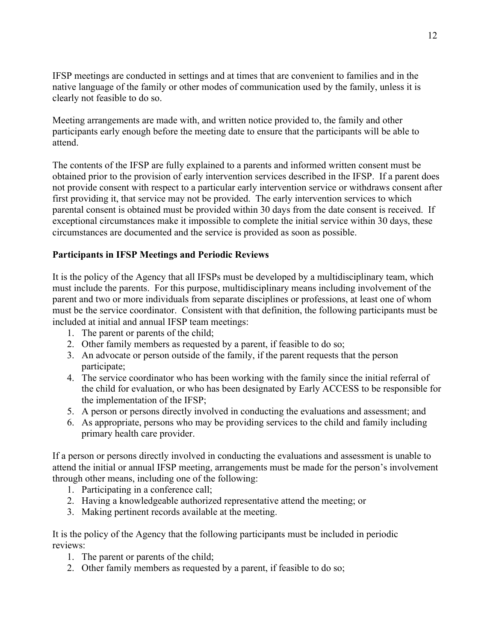IFSP meetings are conducted in settings and at times that are convenient to families and in the native language of the family or other modes of communication used by the family, unless it is clearly not feasible to do so.

Meeting arrangements are made with, and written notice provided to, the family and other participants early enough before the meeting date to ensure that the participants will be able to attend.

The contents of the IFSP are fully explained to a parents and informed written consent must be obtained prior to the provision of early intervention services described in the IFSP. If a parent does not provide consent with respect to a particular early intervention service or withdraws consent after first providing it, that service may not be provided. The early intervention services to which parental consent is obtained must be provided within 30 days from the date consent is received. If exceptional circumstances make it impossible to complete the initial service within 30 days, these circumstances are documented and the service is provided as soon as possible.

### **Participants in IFSP Meetings and Periodic Reviews**

It is the policy of the Agency that all IFSPs must be developed by a multidisciplinary team, which must include the parents. For this purpose, multidisciplinary means including involvement of the parent and two or more individuals from separate disciplines or professions, at least one of whom must be the service coordinator. Consistent with that definition, the following participants must be included at initial and annual IFSP team meetings:

- 1. The parent or parents of the child;
- 2. Other family members as requested by a parent, if feasible to do so;
- 3. An advocate or person outside of the family, if the parent requests that the person participate;
- 4. The service coordinator who has been working with the family since the initial referral of the child for evaluation, or who has been designated by Early ACCESS to be responsible for the implementation of the IFSP;
- 5. A person or persons directly involved in conducting the evaluations and assessment; and
- 6. As appropriate, persons who may be providing services to the child and family including primary health care provider.

If a person or persons directly involved in conducting the evaluations and assessment is unable to attend the initial or annual IFSP meeting, arrangements must be made for the person's involvement through other means, including one of the following:

- 1. Participating in a conference call;
- 2. Having a knowledgeable authorized representative attend the meeting; or
- 3. Making pertinent records available at the meeting.

It is the policy of the Agency that the following participants must be included in periodic reviews:

- 1. The parent or parents of the child;
- 2. Other family members as requested by a parent, if feasible to do so;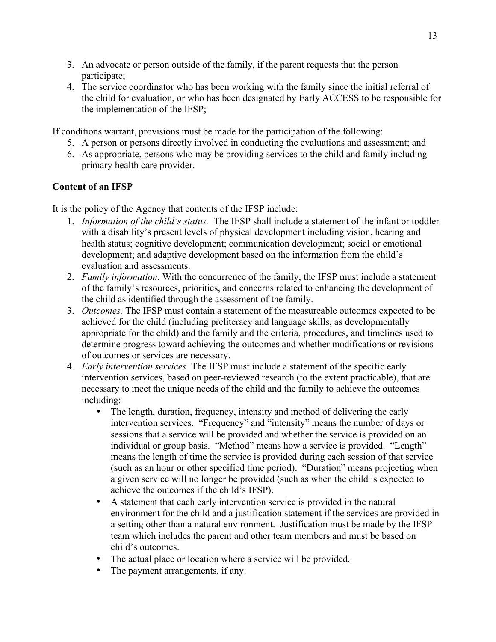- 3. An advocate or person outside of the family, if the parent requests that the person participate;
- 4. The service coordinator who has been working with the family since the initial referral of the child for evaluation, or who has been designated by Early ACCESS to be responsible for the implementation of the IFSP;

If conditions warrant, provisions must be made for the participation of the following:

- 5. A person or persons directly involved in conducting the evaluations and assessment; and
- 6. As appropriate, persons who may be providing services to the child and family including primary health care provider.

# **Content of an IFSP**

It is the policy of the Agency that contents of the IFSP include:

- 1. *Information of the child's status.* The IFSP shall include a statement of the infant or toddler with a disability's present levels of physical development including vision, hearing and health status; cognitive development; communication development; social or emotional development; and adaptive development based on the information from the child's evaluation and assessments.
- 2. *Family information.* With the concurrence of the family, the IFSP must include a statement of the family's resources, priorities, and concerns related to enhancing the development of the child as identified through the assessment of the family.
- 3. *Outcomes.* The IFSP must contain a statement of the measureable outcomes expected to be achieved for the child (including preliteracy and language skills, as developmentally appropriate for the child) and the family and the criteria, procedures, and timelines used to determine progress toward achieving the outcomes and whether modifications or revisions of outcomes or services are necessary.
- 4. *Early intervention services.* The IFSP must include a statement of the specific early intervention services, based on peer-reviewed research (to the extent practicable), that are necessary to meet the unique needs of the child and the family to achieve the outcomes including:
	- The length, duration, frequency, intensity and method of delivering the early intervention services. "Frequency" and "intensity" means the number of days or sessions that a service will be provided and whether the service is provided on an individual or group basis. "Method" means how a service is provided. "Length" means the length of time the service is provided during each session of that service (such as an hour or other specified time period). "Duration" means projecting when a given service will no longer be provided (such as when the child is expected to achieve the outcomes if the child's IFSP).
	- A statement that each early intervention service is provided in the natural environment for the child and a justification statement if the services are provided in a setting other than a natural environment. Justification must be made by the IFSP team which includes the parent and other team members and must be based on child's outcomes.
	- The actual place or location where a service will be provided.
	- The payment arrangements, if any.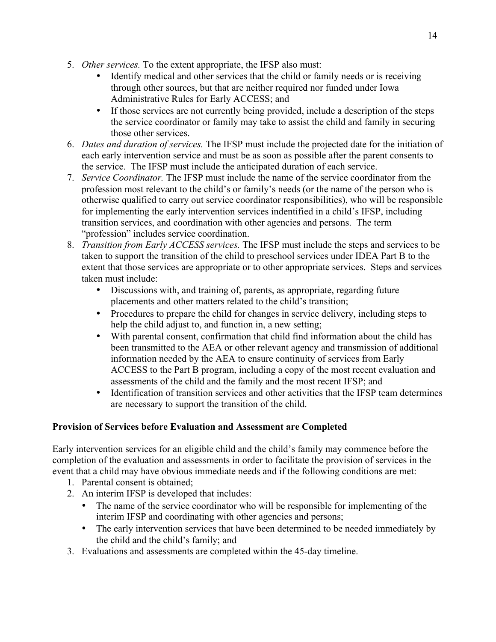- 5. *Other services.* To the extent appropriate, the IFSP also must:
	- Identify medical and other services that the child or family needs or is receiving through other sources, but that are neither required nor funded under Iowa Administrative Rules for Early ACCESS; and
	- If those services are not currently being provided, include a description of the steps the service coordinator or family may take to assist the child and family in securing those other services.
- 6. *Dates and duration of services.* The IFSP must include the projected date for the initiation of each early intervention service and must be as soon as possible after the parent consents to the service. The IFSP must include the anticipated duration of each service.
- 7. *Service Coordinator.* The IFSP must include the name of the service coordinator from the profession most relevant to the child's or family's needs (or the name of the person who is otherwise qualified to carry out service coordinator responsibilities), who will be responsible for implementing the early intervention services indentified in a child's IFSP, including transition services, and coordination with other agencies and persons. The term "profession" includes service coordination.
- 8. *Transition from Early ACCESS services.* The IFSP must include the steps and services to be taken to support the transition of the child to preschool services under IDEA Part B to the extent that those services are appropriate or to other appropriate services. Steps and services taken must include:
	- Discussions with, and training of, parents, as appropriate, regarding future placements and other matters related to the child's transition;
	- Procedures to prepare the child for changes in service delivery, including steps to help the child adjust to, and function in, a new setting;
	- With parental consent, confirmation that child find information about the child has been transmitted to the AEA or other relevant agency and transmission of additional information needed by the AEA to ensure continuity of services from Early ACCESS to the Part B program, including a copy of the most recent evaluation and assessments of the child and the family and the most recent IFSP; and
	- Identification of transition services and other activities that the IFSP team determines are necessary to support the transition of the child.

# **Provision of Services before Evaluation and Assessment are Completed**

Early intervention services for an eligible child and the child's family may commence before the completion of the evaluation and assessments in order to facilitate the provision of services in the event that a child may have obvious immediate needs and if the following conditions are met:

- 1. Parental consent is obtained;
- 2. An interim IFSP is developed that includes:
	- The name of the service coordinator who will be responsible for implementing of the interim IFSP and coordinating with other agencies and persons;
	- The early intervention services that have been determined to be needed immediately by the child and the child's family; and
- 3. Evaluations and assessments are completed within the 45-day timeline.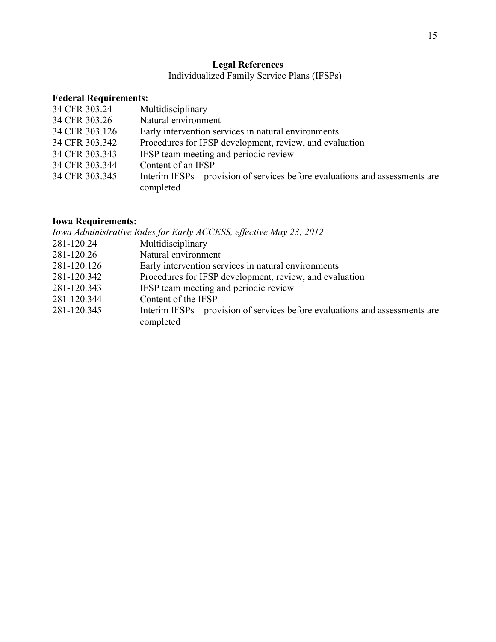### **Legal References**

Individualized Family Service Plans (IFSPs)

# **Federal Requirements:**

| 34 CFR 303.24  | Multidisciplinary                                                          |
|----------------|----------------------------------------------------------------------------|
| 34 CFR 303.26  | Natural environment                                                        |
| 34 CFR 303.126 | Early intervention services in natural environments                        |
| 34 CFR 303.342 | Procedures for IFSP development, review, and evaluation                    |
| 34 CFR 303.343 | IFSP team meeting and periodic review                                      |
| 34 CFR 303.344 | Content of an IFSP                                                         |
| 34 CFR 303.345 | Interim IFSPs—provision of services before evaluations and assessments are |
|                | completed                                                                  |

# **Iowa Requirements:**

| <b>Iowa Requirements:</b> |                                                                                         |
|---------------------------|-----------------------------------------------------------------------------------------|
|                           | Iowa Administrative Rules for Early ACCESS, effective May 23, 2012                      |
| 281-120.24                | Multidisciplinary                                                                       |
| 281-120.26                | Natural environment                                                                     |
| 281-120.126               | Early intervention services in natural environments                                     |
| 281-120.342               | Procedures for IFSP development, review, and evaluation                                 |
| 281-120.343               | IFSP team meeting and periodic review                                                   |
| 281-120.344               | Content of the IFSP                                                                     |
| 281-120.345               | Interim IFSPs—provision of services before evaluations and assessments are<br>completed |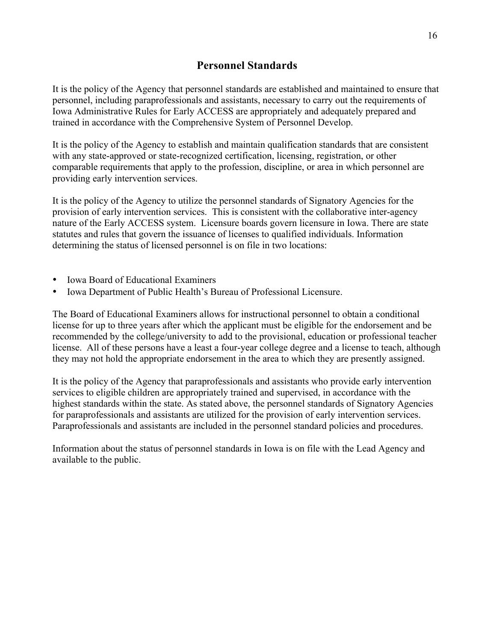# **Personnel Standards**

It is the policy of the Agency that personnel standards are established and maintained to ensure that personnel, including paraprofessionals and assistants, necessary to carry out the requirements of Iowa Administrative Rules for Early ACCESS are appropriately and adequately prepared and trained in accordance with the Comprehensive System of Personnel Develop.

It is the policy of the Agency to establish and maintain qualification standards that are consistent with any state-approved or state-recognized certification, licensing, registration, or other comparable requirements that apply to the profession, discipline, or area in which personnel are providing early intervention services.

It is the policy of the Agency to utilize the personnel standards of Signatory Agencies for the provision of early intervention services. This is consistent with the collaborative inter-agency nature of the Early ACCESS system. Licensure boards govern licensure in Iowa. There are state statutes and rules that govern the issuance of licenses to qualified individuals. Information determining the status of licensed personnel is on file in two locations:

- Iowa Board of Educational Examiners
- Iowa Department of Public Health's Bureau of Professional Licensure.

The Board of Educational Examiners allows for instructional personnel to obtain a conditional license for up to three years after which the applicant must be eligible for the endorsement and be recommended by the college/university to add to the provisional, education or professional teacher license. All of these persons have a least a four-year college degree and a license to teach, although they may not hold the appropriate endorsement in the area to which they are presently assigned.

It is the policy of the Agency that paraprofessionals and assistants who provide early intervention services to eligible children are appropriately trained and supervised, in accordance with the highest standards within the state. As stated above, the personnel standards of Signatory Agencies for paraprofessionals and assistants are utilized for the provision of early intervention services. Paraprofessionals and assistants are included in the personnel standard policies and procedures.

Information about the status of personnel standards in Iowa is on file with the Lead Agency and available to the public.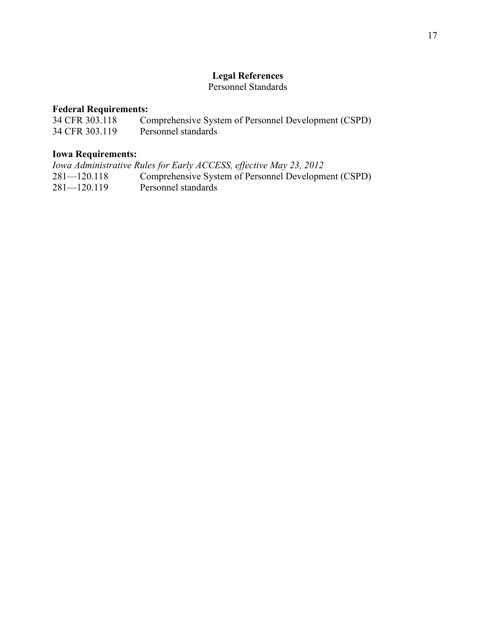### **Legal References**

Personnel Standards

# **Federal Requirements:**

| 34 CFR 303.118 | Comprehensive System of Personnel Development (CSPD) |
|----------------|------------------------------------------------------|
| 34 CFR 303.119 | Personnel standards                                  |

# **Iowa Requirements:**

|                 | Iowa Administrative Rules for Early ACCESS, effective May 23, 2012 |
|-----------------|--------------------------------------------------------------------|
| $281 - 120.118$ | Comprehensive System of Personnel Development (CSPD)               |
| $281 - 120.119$ | Personnel standards                                                |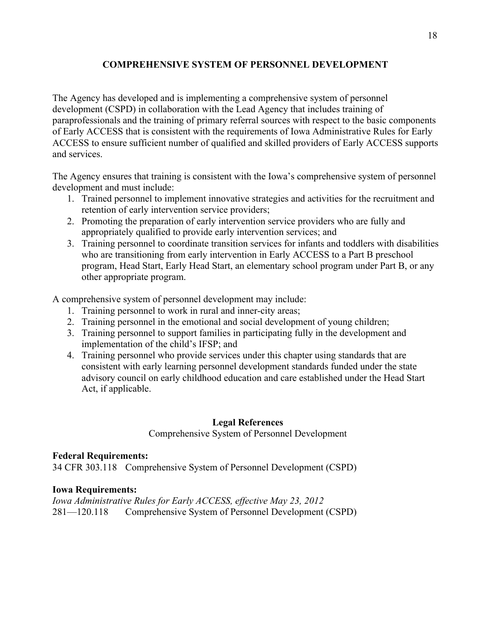# **COMPREHENSIVE SYSTEM OF PERSONNEL DEVELOPMENT**

The Agency has developed and is implementing a comprehensive system of personnel development (CSPD) in collaboration with the Lead Agency that includes training of paraprofessionals and the training of primary referral sources with respect to the basic components of Early ACCESS that is consistent with the requirements of Iowa Administrative Rules for Early ACCESS to ensure sufficient number of qualified and skilled providers of Early ACCESS supports and services.

The Agency ensures that training is consistent with the Iowa's comprehensive system of personnel development and must include:

- 1. Trained personnel to implement innovative strategies and activities for the recruitment and retention of early intervention service providers;
- 2. Promoting the preparation of early intervention service providers who are fully and appropriately qualified to provide early intervention services; and
- 3. Training personnel to coordinate transition services for infants and toddlers with disabilities who are transitioning from early intervention in Early ACCESS to a Part B preschool program, Head Start, Early Head Start, an elementary school program under Part B, or any other appropriate program.

A comprehensive system of personnel development may include:

- 1. Training personnel to work in rural and inner-city areas;
- 2. Training personnel in the emotional and social development of young children;
- 3. Training personnel to support families in participating fully in the development and implementation of the child's IFSP; and
- 4. Training personnel who provide services under this chapter using standards that are consistent with early learning personnel development standards funded under the state advisory council on early childhood education and care established under the Head Start Act, if applicable.

### **Legal References**

Comprehensive System of Personnel Development

### **Federal Requirements:**

34 CFR 303.118 Comprehensive System of Personnel Development (CSPD)

### **Iowa Requirements:**

*Iowa Administrative Rules for Early ACCESS, effective May 23, 2012* 281—120.118 Comprehensive System of Personnel Development (CSPD)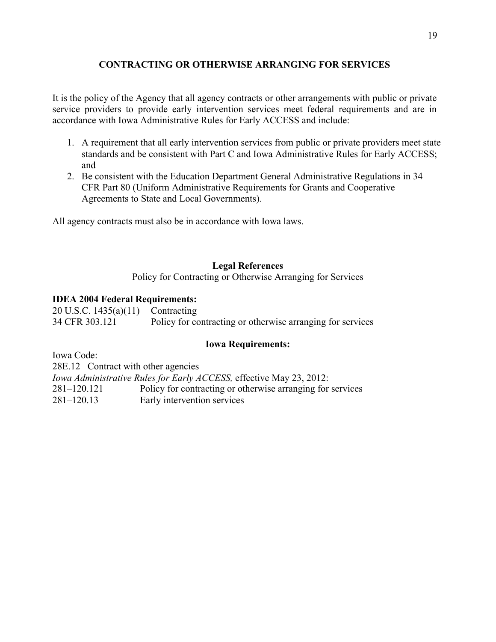# **CONTRACTING OR OTHERWISE ARRANGING FOR SERVICES**

It is the policy of the Agency that all agency contracts or other arrangements with public or private service providers to provide early intervention services meet federal requirements and are in accordance with Iowa Administrative Rules for Early ACCESS and include:

- 1. A requirement that all early intervention services from public or private providers meet state standards and be consistent with Part C and Iowa Administrative Rules for Early ACCESS; and
- 2. Be consistent with the Education Department General Administrative Regulations in 34 CFR Part 80 (Uniform Administrative Requirements for Grants and Cooperative Agreements to State and Local Governments).

All agency contracts must also be in accordance with Iowa laws.

### **Legal References**

Policy for Contracting or Otherwise Arranging for Services

### **IDEA 2004 Federal Requirements:**

20 U.S.C. 1435(a)(11) Contracting 34 CFR 303.121 Policy for contracting or otherwise arranging for services

### **Iowa Requirements:**

Iowa Code:

28E.12 Contract with other agencies

*Iowa Administrative Rules for Early ACCESS,* effective May 23, 2012: 281–120.121 Policy for contracting or otherwise arranging for services 281–120.13 Early intervention services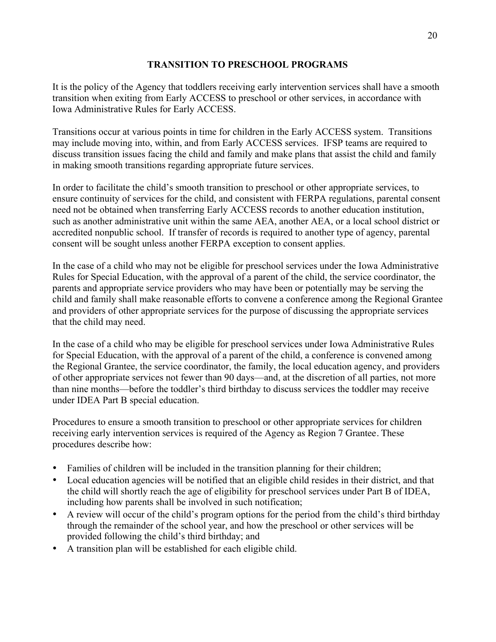### **TRANSITION TO PRESCHOOL PROGRAMS**

It is the policy of the Agency that toddlers receiving early intervention services shall have a smooth transition when exiting from Early ACCESS to preschool or other services, in accordance with Iowa Administrative Rules for Early ACCESS.

Transitions occur at various points in time for children in the Early ACCESS system. Transitions may include moving into, within, and from Early ACCESS services. IFSP teams are required to discuss transition issues facing the child and family and make plans that assist the child and family in making smooth transitions regarding appropriate future services.

In order to facilitate the child's smooth transition to preschool or other appropriate services, to ensure continuity of services for the child, and consistent with FERPA regulations, parental consent need not be obtained when transferring Early ACCESS records to another education institution, such as another administrative unit within the same AEA, another AEA, or a local school district or accredited nonpublic school. If transfer of records is required to another type of agency, parental consent will be sought unless another FERPA exception to consent applies.

In the case of a child who may not be eligible for preschool services under the Iowa Administrative Rules for Special Education, with the approval of a parent of the child, the service coordinator, the parents and appropriate service providers who may have been or potentially may be serving the child and family shall make reasonable efforts to convene a conference among the Regional Grantee and providers of other appropriate services for the purpose of discussing the appropriate services that the child may need.

In the case of a child who may be eligible for preschool services under Iowa Administrative Rules for Special Education, with the approval of a parent of the child, a conference is convened among the Regional Grantee, the service coordinator, the family, the local education agency, and providers of other appropriate services not fewer than 90 days—and, at the discretion of all parties, not more than nine months—before the toddler's third birthday to discuss services the toddler may receive under IDEA Part B special education.

Procedures to ensure a smooth transition to preschool or other appropriate services for children receiving early intervention services is required of the Agency as Region 7 Grantee. These procedures describe how:

- Families of children will be included in the transition planning for their children;
- Local education agencies will be notified that an eligible child resides in their district, and that the child will shortly reach the age of eligibility for preschool services under Part B of IDEA, including how parents shall be involved in such notification;
- A review will occur of the child's program options for the period from the child's third birthday through the remainder of the school year, and how the preschool or other services will be provided following the child's third birthday; and
- A transition plan will be established for each eligible child.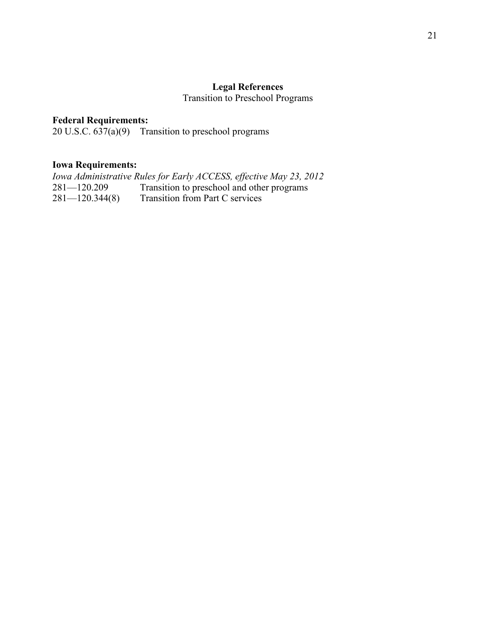# **Legal References**

Transition to Preschool Programs

# **Federal Requirements:**

20 U.S.C. 637(a)(9) Transition to preschool programs

### **Iowa Requirements:**

*Iowa Administrative Rules for Early ACCESS, effective May 23, 2012* 281—120.209 Transition to preschool and other programs<br>281—120.344(8) Transition from Part C services Transition from Part C services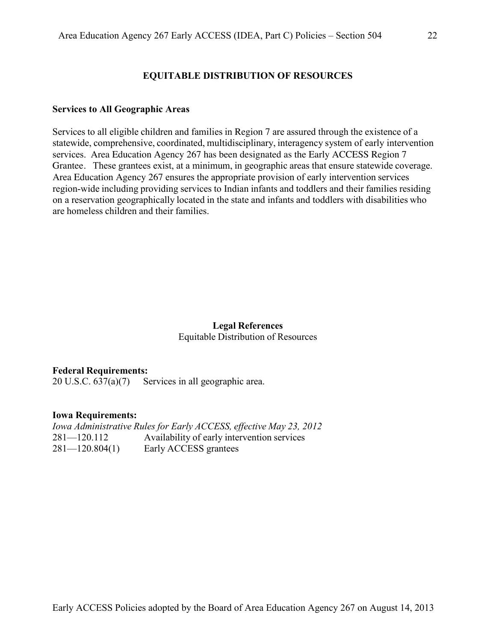### **EQUITABLE DISTRIBUTION OF RESOURCES**

#### **Services to All Geographic Areas**

Services to all eligible children and families in Region 7 are assured through the existence of a statewide, comprehensive, coordinated, multidisciplinary, interagency system of early intervention services. Area Education Agency 267 has been designated as the Early ACCESS Region 7 Grantee. These grantees exist, at a minimum, in geographic areas that ensure statewide coverage. Area Education Agency 267 ensures the appropriate provision of early intervention services region-wide including providing services to Indian infants and toddlers and their families residing on a reservation geographically located in the state and infants and toddlers with disabilities who are homeless children and their families.

#### **Legal References** Equitable Distribution of Resources

#### **Federal Requirements:**

20 U.S.C. 637(a)(7) Services in all geographic area.

#### **Iowa Requirements:**

*Iowa Administrative Rules for Early ACCESS, effective May 23, 2012* 281—120.112 Availability of early intervention services 281—120.804(1) Early ACCESS grantees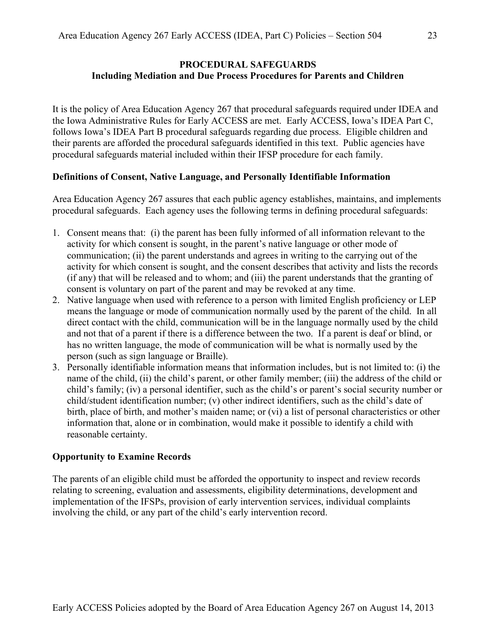### **PROCEDURAL SAFEGUARDS Including Mediation and Due Process Procedures for Parents and Children**

It is the policy of Area Education Agency 267 that procedural safeguards required under IDEA and the Iowa Administrative Rules for Early ACCESS are met. Early ACCESS, Iowa's IDEA Part C, follows Iowa's IDEA Part B procedural safeguards regarding due process. Eligible children and their parents are afforded the procedural safeguards identified in this text. Public agencies have procedural safeguards material included within their IFSP procedure for each family.

#### **Definitions of Consent, Native Language, and Personally Identifiable Information**

Area Education Agency 267 assures that each public agency establishes, maintains, and implements procedural safeguards. Each agency uses the following terms in defining procedural safeguards:

- 1. Consent means that: (i) the parent has been fully informed of all information relevant to the activity for which consent is sought, in the parent's native language or other mode of communication; (ii) the parent understands and agrees in writing to the carrying out of the activity for which consent is sought, and the consent describes that activity and lists the records (if any) that will be released and to whom; and (iii) the parent understands that the granting of consent is voluntary on part of the parent and may be revoked at any time.
- 2. Native language when used with reference to a person with limited English proficiency or LEP means the language or mode of communication normally used by the parent of the child. In all direct contact with the child, communication will be in the language normally used by the child and not that of a parent if there is a difference between the two. If a parent is deaf or blind, or has no written language, the mode of communication will be what is normally used by the person (such as sign language or Braille).
- 3. Personally identifiable information means that information includes, but is not limited to: (i) the name of the child, (ii) the child's parent, or other family member; (iii) the address of the child or child's family; (iv) a personal identifier, such as the child's or parent's social security number or child/student identification number; (v) other indirect identifiers, such as the child's date of birth, place of birth, and mother's maiden name; or (vi) a list of personal characteristics or other information that, alone or in combination, would make it possible to identify a child with reasonable certainty.

#### **Opportunity to Examine Records**

The parents of an eligible child must be afforded the opportunity to inspect and review records relating to screening, evaluation and assessments, eligibility determinations, development and implementation of the IFSPs, provision of early intervention services, individual complaints involving the child, or any part of the child's early intervention record.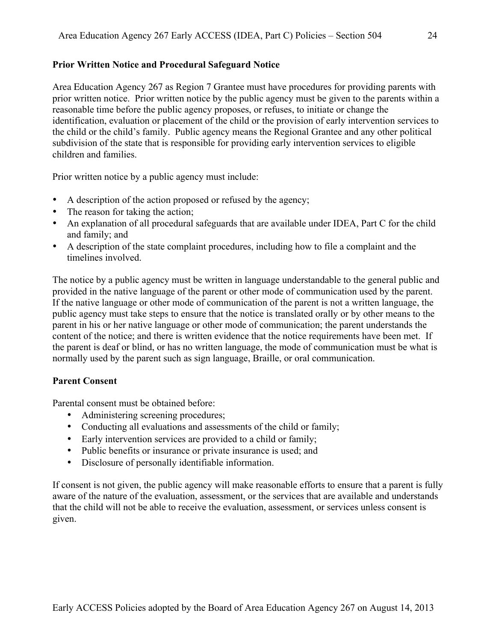### **Prior Written Notice and Procedural Safeguard Notice**

Area Education Agency 267 as Region 7 Grantee must have procedures for providing parents with prior written notice. Prior written notice by the public agency must be given to the parents within a reasonable time before the public agency proposes, or refuses, to initiate or change the identification, evaluation or placement of the child or the provision of early intervention services to the child or the child's family. Public agency means the Regional Grantee and any other political subdivision of the state that is responsible for providing early intervention services to eligible children and families.

Prior written notice by a public agency must include:

- A description of the action proposed or refused by the agency;
- The reason for taking the action;
- An explanation of all procedural safeguards that are available under IDEA, Part C for the child and family; and
- A description of the state complaint procedures, including how to file a complaint and the timelines involved.

The notice by a public agency must be written in language understandable to the general public and provided in the native language of the parent or other mode of communication used by the parent. If the native language or other mode of communication of the parent is not a written language, the public agency must take steps to ensure that the notice is translated orally or by other means to the parent in his or her native language or other mode of communication; the parent understands the content of the notice; and there is written evidence that the notice requirements have been met. If the parent is deaf or blind, or has no written language, the mode of communication must be what is normally used by the parent such as sign language, Braille, or oral communication.

### **Parent Consent**

Parental consent must be obtained before:

- Administering screening procedures;
- Conducting all evaluations and assessments of the child or family;
- Early intervention services are provided to a child or family;
- Public benefits or insurance or private insurance is used; and
- Disclosure of personally identifiable information.

If consent is not given, the public agency will make reasonable efforts to ensure that a parent is fully aware of the nature of the evaluation, assessment, or the services that are available and understands that the child will not be able to receive the evaluation, assessment, or services unless consent is given.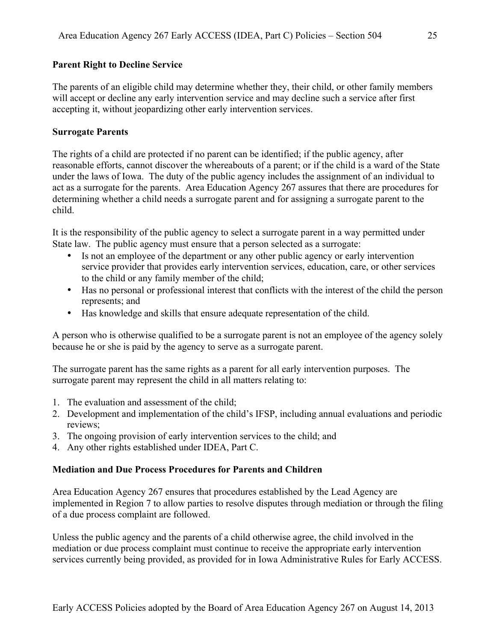### **Parent Right to Decline Service**

The parents of an eligible child may determine whether they, their child, or other family members will accept or decline any early intervention service and may decline such a service after first accepting it, without jeopardizing other early intervention services.

### **Surrogate Parents**

The rights of a child are protected if no parent can be identified; if the public agency, after reasonable efforts, cannot discover the whereabouts of a parent; or if the child is a ward of the State under the laws of Iowa. The duty of the public agency includes the assignment of an individual to act as a surrogate for the parents. Area Education Agency 267 assures that there are procedures for determining whether a child needs a surrogate parent and for assigning a surrogate parent to the child.

It is the responsibility of the public agency to select a surrogate parent in a way permitted under State law. The public agency must ensure that a person selected as a surrogate:

- Is not an employee of the department or any other public agency or early intervention service provider that provides early intervention services, education, care, or other services to the child or any family member of the child;
- Has no personal or professional interest that conflicts with the interest of the child the person represents; and
- Has knowledge and skills that ensure adequate representation of the child.

A person who is otherwise qualified to be a surrogate parent is not an employee of the agency solely because he or she is paid by the agency to serve as a surrogate parent.

The surrogate parent has the same rights as a parent for all early intervention purposes. The surrogate parent may represent the child in all matters relating to:

- 1. The evaluation and assessment of the child;
- 2. Development and implementation of the child's IFSP, including annual evaluations and periodic reviews;
- 3. The ongoing provision of early intervention services to the child; and
- 4. Any other rights established under IDEA, Part C.

### **Mediation and Due Process Procedures for Parents and Children**

Area Education Agency 267 ensures that procedures established by the Lead Agency are implemented in Region 7 to allow parties to resolve disputes through mediation or through the filing of a due process complaint are followed.

Unless the public agency and the parents of a child otherwise agree, the child involved in the mediation or due process complaint must continue to receive the appropriate early intervention services currently being provided, as provided for in Iowa Administrative Rules for Early ACCESS.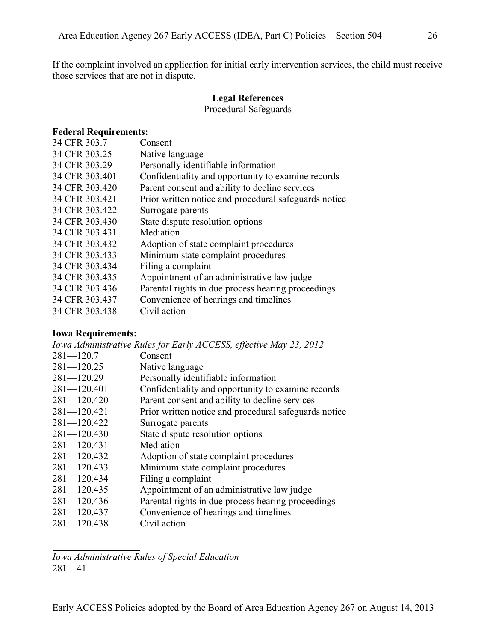If the complaint involved an application for initial early intervention services, the child must receive those services that are not in dispute.

# **Legal References**

Procedural Safeguards

### **Federal Requirements:**

| 34 CFR 303.7   | Consent                                               |
|----------------|-------------------------------------------------------|
| 34 CFR 303.25  | Native language                                       |
| 34 CFR 303.29  | Personally identifiable information                   |
| 34 CFR 303.401 | Confidentiality and opportunity to examine records    |
| 34 CFR 303.420 | Parent consent and ability to decline services        |
| 34 CFR 303.421 | Prior written notice and procedural safeguards notice |
| 34 CFR 303.422 | Surrogate parents                                     |
| 34 CFR 303.430 | State dispute resolution options                      |
| 34 CFR 303.431 | Mediation                                             |
| 34 CFR 303.432 | Adoption of state complaint procedures                |
| 34 CFR 303.433 | Minimum state complaint procedures                    |
| 34 CFR 303.434 | Filing a complaint                                    |
| 34 CFR 303.435 | Appointment of an administrative law judge            |
| 34 CFR 303.436 | Parental rights in due process hearing proceedings    |
| 34 CFR 303.437 | Convenience of hearings and timelines                 |
| 34 CFR 303.438 | Civil action                                          |
|                |                                                       |

# **Iowa Requirements:**

| Iowa Administrative Rules for Early ACCESS, effective May 23, 2012 |
|--------------------------------------------------------------------|
| Consent                                                            |
| Native language                                                    |
| Personally identifiable information                                |
| Confidentiality and opportunity to examine records                 |
| Parent consent and ability to decline services                     |
| Prior written notice and procedural safeguards notice              |
| Surrogate parents                                                  |
| State dispute resolution options                                   |
| Mediation                                                          |
| Adoption of state complaint procedures                             |
| Minimum state complaint procedures                                 |
| Filing a complaint                                                 |
| Appointment of an administrative law judge                         |
| Parental rights in due process hearing proceedings                 |
| Convenience of hearings and timelines                              |
| Civil action                                                       |
|                                                                    |

*Iowa Administrative Rules of Special Education* 281—41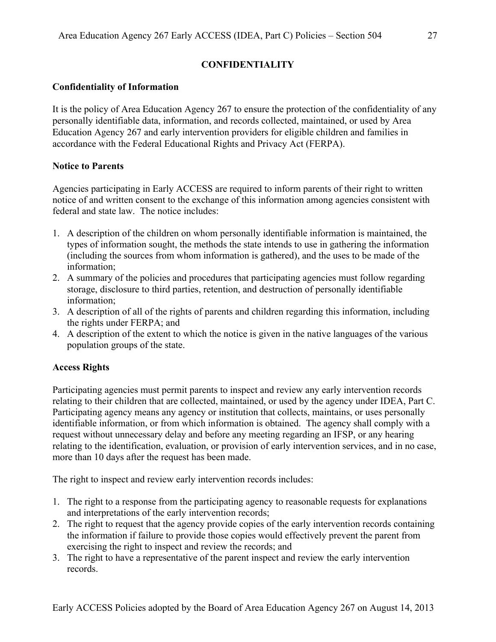# **CONFIDENTIALITY**

# **Confidentiality of Information**

It is the policy of Area Education Agency 267 to ensure the protection of the confidentiality of any personally identifiable data, information, and records collected, maintained, or used by Area Education Agency 267 and early intervention providers for eligible children and families in accordance with the Federal Educational Rights and Privacy Act (FERPA).

# **Notice to Parents**

Agencies participating in Early ACCESS are required to inform parents of their right to written notice of and written consent to the exchange of this information among agencies consistent with federal and state law. The notice includes:

- 1. A description of the children on whom personally identifiable information is maintained, the types of information sought, the methods the state intends to use in gathering the information (including the sources from whom information is gathered), and the uses to be made of the information;
- 2. A summary of the policies and procedures that participating agencies must follow regarding storage, disclosure to third parties, retention, and destruction of personally identifiable information;
- 3. A description of all of the rights of parents and children regarding this information, including the rights under FERPA; and
- 4. A description of the extent to which the notice is given in the native languages of the various population groups of the state.

# **Access Rights**

Participating agencies must permit parents to inspect and review any early intervention records relating to their children that are collected, maintained, or used by the agency under IDEA, Part C. Participating agency means any agency or institution that collects, maintains, or uses personally identifiable information, or from which information is obtained. The agency shall comply with a request without unnecessary delay and before any meeting regarding an IFSP, or any hearing relating to the identification, evaluation, or provision of early intervention services, and in no case, more than 10 days after the request has been made.

The right to inspect and review early intervention records includes:

- 1. The right to a response from the participating agency to reasonable requests for explanations and interpretations of the early intervention records;
- 2. The right to request that the agency provide copies of the early intervention records containing the information if failure to provide those copies would effectively prevent the parent from exercising the right to inspect and review the records; and
- 3. The right to have a representative of the parent inspect and review the early intervention records.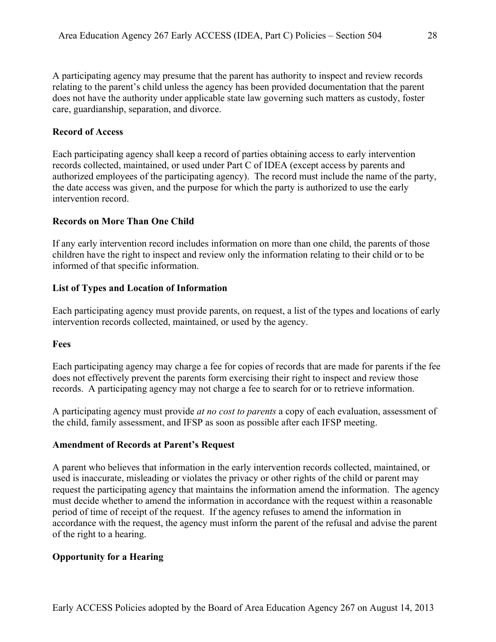A participating agency may presume that the parent has authority to inspect and review records relating to the parent's child unless the agency has been provided documentation that the parent does not have the authority under applicable state law governing such matters as custody, foster care, guardianship, separation, and divorce.

### **Record of Access**

Each participating agency shall keep a record of parties obtaining access to early intervention records collected, maintained, or used under Part C of IDEA (except access by parents and authorized employees of the participating agency). The record must include the name of the party, the date access was given, and the purpose for which the party is authorized to use the early intervention record.

### **Records on More Than One Child**

If any early intervention record includes information on more than one child, the parents of those children have the right to inspect and review only the information relating to their child or to be informed of that specific information.

### **List of Types and Location of Information**

Each participating agency must provide parents, on request, a list of the types and locations of early intervention records collected, maintained, or used by the agency.

### **Fees**

Each participating agency may charge a fee for copies of records that are made for parents if the fee does not effectively prevent the parents form exercising their right to inspect and review those records. A participating agency may not charge a fee to search for or to retrieve information.

A participating agency must provide *at no cost to parents* a copy of each evaluation, assessment of the child, family assessment, and IFSP as soon as possible after each IFSP meeting.

### **Amendment of Records at Parent's Request**

A parent who believes that information in the early intervention records collected, maintained, or used is inaccurate, misleading or violates the privacy or other rights of the child or parent may request the participating agency that maintains the information amend the information. The agency must decide whether to amend the information in accordance with the request within a reasonable period of time of receipt of the request. If the agency refuses to amend the information in accordance with the request, the agency must inform the parent of the refusal and advise the parent of the right to a hearing.

# **Opportunity for a Hearing**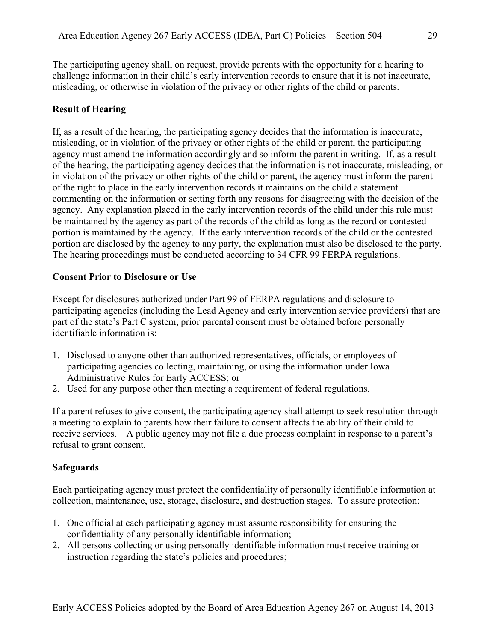The participating agency shall, on request, provide parents with the opportunity for a hearing to challenge information in their child's early intervention records to ensure that it is not inaccurate, misleading, or otherwise in violation of the privacy or other rights of the child or parents.

# **Result of Hearing**

If, as a result of the hearing, the participating agency decides that the information is inaccurate, misleading, or in violation of the privacy or other rights of the child or parent, the participating agency must amend the information accordingly and so inform the parent in writing. If, as a result of the hearing, the participating agency decides that the information is not inaccurate, misleading, or in violation of the privacy or other rights of the child or parent, the agency must inform the parent of the right to place in the early intervention records it maintains on the child a statement commenting on the information or setting forth any reasons for disagreeing with the decision of the agency. Any explanation placed in the early intervention records of the child under this rule must be maintained by the agency as part of the records of the child as long as the record or contested portion is maintained by the agency. If the early intervention records of the child or the contested portion are disclosed by the agency to any party, the explanation must also be disclosed to the party. The hearing proceedings must be conducted according to 34 CFR 99 FERPA regulations.

# **Consent Prior to Disclosure or Use**

Except for disclosures authorized under Part 99 of FERPA regulations and disclosure to participating agencies (including the Lead Agency and early intervention service providers) that are part of the state's Part C system, prior parental consent must be obtained before personally identifiable information is:

- 1. Disclosed to anyone other than authorized representatives, officials, or employees of participating agencies collecting, maintaining, or using the information under Iowa Administrative Rules for Early ACCESS; or
- 2. Used for any purpose other than meeting a requirement of federal regulations.

If a parent refuses to give consent, the participating agency shall attempt to seek resolution through a meeting to explain to parents how their failure to consent affects the ability of their child to receive services. A public agency may not file a due process complaint in response to a parent's refusal to grant consent.

# **Safeguards**

Each participating agency must protect the confidentiality of personally identifiable information at collection, maintenance, use, storage, disclosure, and destruction stages. To assure protection:

- 1. One official at each participating agency must assume responsibility for ensuring the confidentiality of any personally identifiable information;
- 2. All persons collecting or using personally identifiable information must receive training or instruction regarding the state's policies and procedures;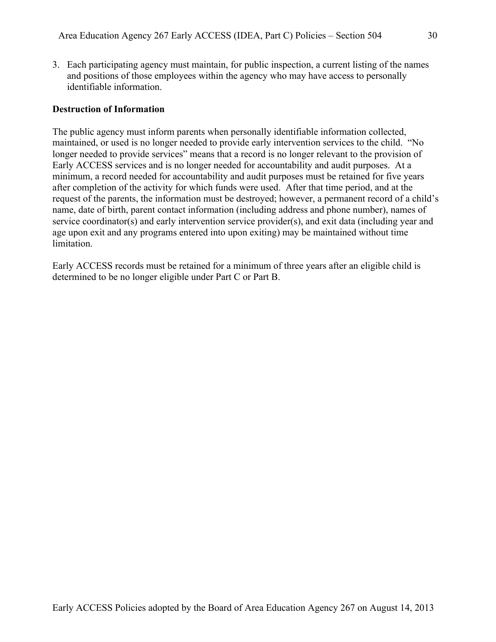3. Each participating agency must maintain, for public inspection, a current listing of the names and positions of those employees within the agency who may have access to personally identifiable information.

#### **Destruction of Information**

The public agency must inform parents when personally identifiable information collected, maintained, or used is no longer needed to provide early intervention services to the child. "No longer needed to provide services" means that a record is no longer relevant to the provision of Early ACCESS services and is no longer needed for accountability and audit purposes. At a minimum, a record needed for accountability and audit purposes must be retained for five years after completion of the activity for which funds were used. After that time period, and at the request of the parents, the information must be destroyed; however, a permanent record of a child's name, date of birth, parent contact information (including address and phone number), names of service coordinator(s) and early intervention service provider(s), and exit data (including year and age upon exit and any programs entered into upon exiting) may be maintained without time limitation.

Early ACCESS records must be retained for a minimum of three years after an eligible child is determined to be no longer eligible under Part C or Part B.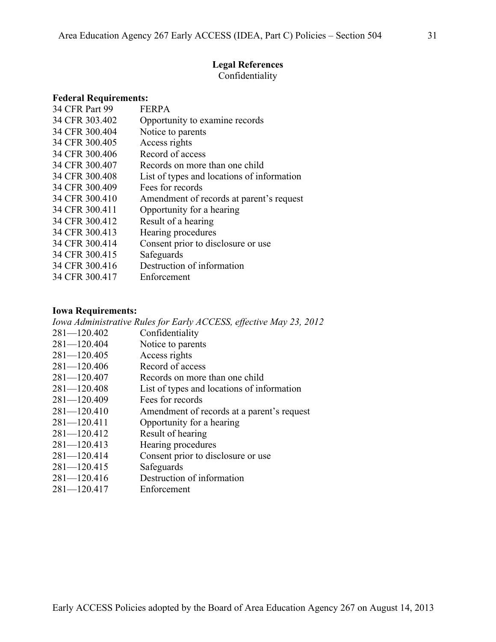### **Legal References**

Confidentiality

| <b>Federal Requirements:</b>               |
|--------------------------------------------|
| <b>FERPA</b>                               |
| Opportunity to examine records             |
| Notice to parents                          |
| Access rights                              |
| Record of access                           |
| Records on more than one child             |
| List of types and locations of information |
| Fees for records                           |
| Amendment of records at parent's request   |
| Opportunity for a hearing                  |
| Result of a hearing                        |
| Hearing procedures                         |
| Consent prior to disclosure or use         |
| Safeguards                                 |
| Destruction of information                 |
| Enforcement                                |
|                                            |

#### **Iowa Requirements:**

*Iowa Administrative Rules for Early ACCESS, effective May 23, 2012* 281—120.402 Confidentiality 281—120.404 Notice to parents 281—120.405 Access rights 281—120.406 Record of access 281—120.407 Records on more than one child 281—120.408 List of types and locations of information 281—120.409 Fees for records 281—120.410 Amendment of records at a parent's request 281—120.411 Opportunity for a hearing 281—120.412 Result of hearing 281—120.413 Hearing procedures 281—120.414 Consent prior to disclosure or use 281—120.415 Safeguards 281—120.416 Destruction of information 281—120.417 Enforcement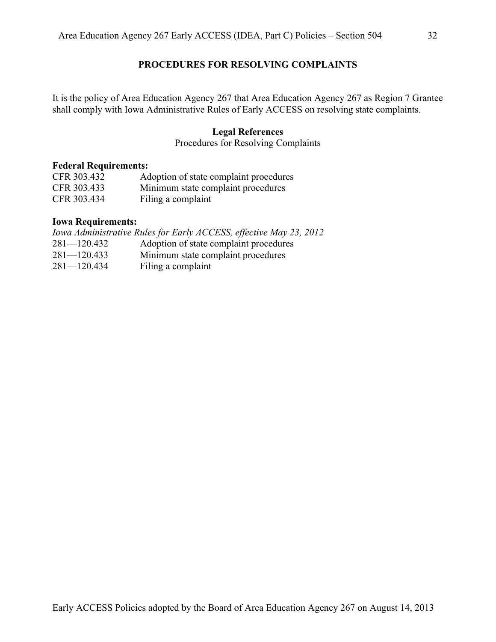### **PROCEDURES FOR RESOLVING COMPLAINTS**

It is the policy of Area Education Agency 267 that Area Education Agency 267 as Region 7 Grantee shall comply with Iowa Administrative Rules of Early ACCESS on resolving state complaints.

#### **Legal References**

Procedures for Resolving Complaints

#### **Federal Requirements:**

| CFR 303.432 | Adoption of state complaint procedures |
|-------------|----------------------------------------|
| CFR 303.433 | Minimum state complaint procedures     |
| CFR 303.434 | Filing a complaint                     |

### **Iowa Requirements:**

|                 | Iowa Administrative Rules for Early ACCESS, effective May 23, 2012 |
|-----------------|--------------------------------------------------------------------|
| $281 - 120.432$ | Adoption of state complaint procedures                             |
| $281 - 120.433$ | Minimum state complaint procedures                                 |
| $281 - 120.434$ | Filing a complaint                                                 |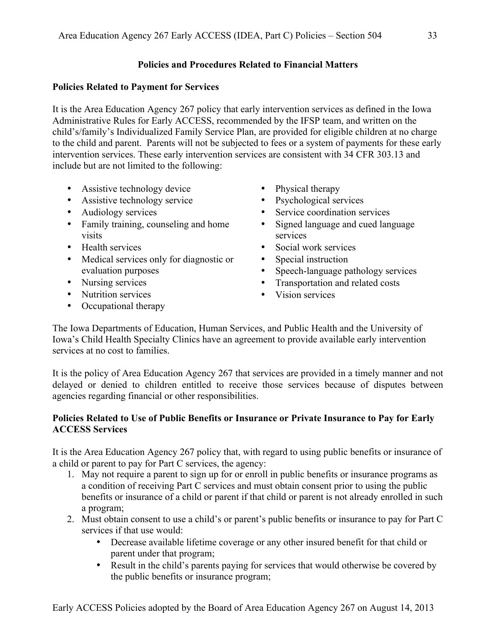# **Policies and Procedures Related to Financial Matters**

### **Policies Related to Payment for Services**

It is the Area Education Agency 267 policy that early intervention services as defined in the Iowa Administrative Rules for Early ACCESS, recommended by the IFSP team, and written on the child's/family's Individualized Family Service Plan, are provided for eligible children at no charge to the child and parent. Parents will not be subjected to fees or a system of payments for these early intervention services. These early intervention services are consistent with 34 CFR 303.13 and include but are not limited to the following:

- Assistive technology device
- Assistive technology service
- Audiology services
- Family training, counseling and home visits
- Health services
- Medical services only for diagnostic or evaluation purposes
- Nursing services
- Nutrition services
- Occupational therapy
- Physical therapy
- Psychological services
- Service coordination services
- Signed language and cued language services
- Social work services
- Special instruction
- Speech-language pathology services
- Transportation and related costs<br>• Vision services
- Vision services

The Iowa Departments of Education, Human Services, and Public Health and the University of Iowa's Child Health Specialty Clinics have an agreement to provide available early intervention services at no cost to families.

It is the policy of Area Education Agency 267 that services are provided in a timely manner and not delayed or denied to children entitled to receive those services because of disputes between agencies regarding financial or other responsibilities.

# **Policies Related to Use of Public Benefits or Insurance or Private Insurance to Pay for Early ACCESS Services**

It is the Area Education Agency 267 policy that, with regard to using public benefits or insurance of a child or parent to pay for Part C services, the agency:

- 1. May not require a parent to sign up for or enroll in public benefits or insurance programs as a condition of receiving Part C services and must obtain consent prior to using the public benefits or insurance of a child or parent if that child or parent is not already enrolled in such a program;
- 2. Must obtain consent to use a child's or parent's public benefits or insurance to pay for Part C services if that use would:
	- Decrease available lifetime coverage or any other insured benefit for that child or parent under that program;
	- Result in the child's parents paying for services that would otherwise be covered by the public benefits or insurance program;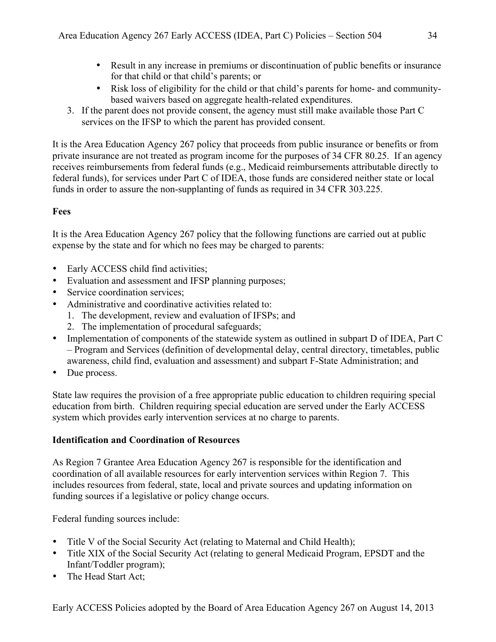- Result in any increase in premiums or discontinuation of public benefits or insurance for that child or that child's parents; or
- Risk loss of eligibility for the child or that child's parents for home- and communitybased waivers based on aggregate health-related expenditures.
- 3. If the parent does not provide consent, the agency must still make available those Part C services on the IFSP to which the parent has provided consent.

It is the Area Education Agency 267 policy that proceeds from public insurance or benefits or from private insurance are not treated as program income for the purposes of 34 CFR 80.25. If an agency receives reimbursements from federal funds (e.g., Medicaid reimbursements attributable directly to federal funds), for services under Part C of IDEA, those funds are considered neither state or local funds in order to assure the non-supplanting of funds as required in 34 CFR 303.225.

# **Fees**

It is the Area Education Agency 267 policy that the following functions are carried out at public expense by the state and for which no fees may be charged to parents:

- Early ACCESS child find activities;
- Evaluation and assessment and IFSP planning purposes;
- Service coordination services:
- Administrative and coordinative activities related to:
	- 1. The development, review and evaluation of IFSPs; and
	- 2. The implementation of procedural safeguards;
- Implementation of components of the statewide system as outlined in subpart D of IDEA, Part C – Program and Services (definition of developmental delay, central directory, timetables, public awareness, child find, evaluation and assessment) and subpart F-State Administration; and
- Due process.

State law requires the provision of a free appropriate public education to children requiring special education from birth. Children requiring special education are served under the Early ACCESS system which provides early intervention services at no charge to parents.

# **Identification and Coordination of Resources**

As Region 7 Grantee Area Education Agency 267 is responsible for the identification and coordination of all available resources for early intervention services within Region 7. This includes resources from federal, state, local and private sources and updating information on funding sources if a legislative or policy change occurs.

Federal funding sources include:

- Title V of the Social Security Act (relating to Maternal and Child Health);
- Title XIX of the Social Security Act (relating to general Medicaid Program, EPSDT and the Infant/Toddler program);
- The Head Start Act;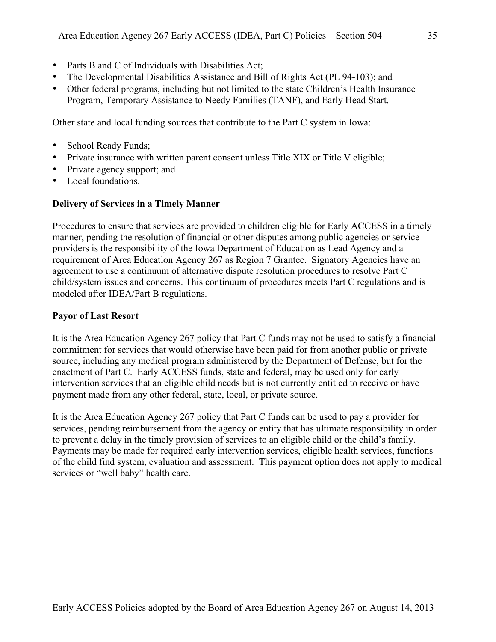- Parts B and C of Individuals with Disabilities Act;
- The Developmental Disabilities Assistance and Bill of Rights Act (PL 94-103); and
- Other federal programs, including but not limited to the state Children's Health Insurance Program, Temporary Assistance to Needy Families (TANF), and Early Head Start.

Other state and local funding sources that contribute to the Part C system in Iowa:

- School Ready Funds;
- Private insurance with written parent consent unless Title XIX or Title V eligible;
- Private agency support; and
- Local foundations.

### **Delivery of Services in a Timely Manner**

Procedures to ensure that services are provided to children eligible for Early ACCESS in a timely manner, pending the resolution of financial or other disputes among public agencies or service providers is the responsibility of the Iowa Department of Education as Lead Agency and a requirement of Area Education Agency 267 as Region 7 Grantee. Signatory Agencies have an agreement to use a continuum of alternative dispute resolution procedures to resolve Part C child/system issues and concerns. This continuum of procedures meets Part C regulations and is modeled after IDEA/Part B regulations.

### **Payor of Last Resort**

It is the Area Education Agency 267 policy that Part C funds may not be used to satisfy a financial commitment for services that would otherwise have been paid for from another public or private source, including any medical program administered by the Department of Defense, but for the enactment of Part C. Early ACCESS funds, state and federal, may be used only for early intervention services that an eligible child needs but is not currently entitled to receive or have payment made from any other federal, state, local, or private source.

It is the Area Education Agency 267 policy that Part C funds can be used to pay a provider for services, pending reimbursement from the agency or entity that has ultimate responsibility in order to prevent a delay in the timely provision of services to an eligible child or the child's family. Payments may be made for required early intervention services, eligible health services, functions of the child find system, evaluation and assessment. This payment option does not apply to medical services or "well baby" health care.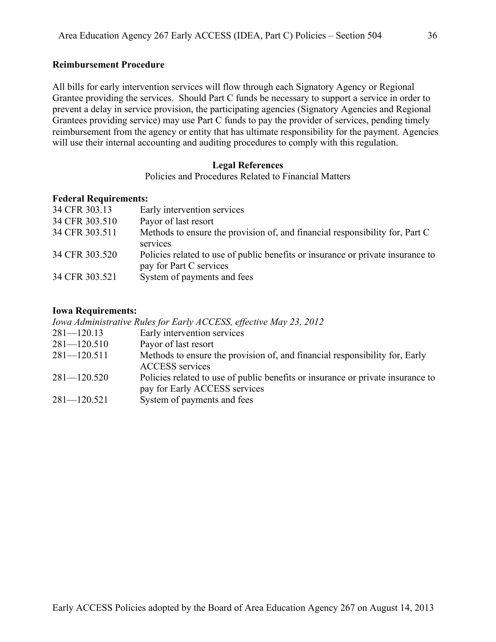### **Reimbursement Procedure**

All bills for early intervention services will flow through each Signatory Agency or Regional Grantee providing the services. Should Part C funds be necessary to support a service in order to prevent a delay in service provision, the participating agencies (Signatory Agencies and Regional Grantees providing service) may use Part C funds to pay the provider of services, pending timely reimbursement from the agency or entity that has ultimate responsibility for the payment. Agencies will use their internal accounting and auditing procedures to comply with this regulation.

### **Legal References**

Policies and Procedures Related to Financial Matters

### **Federal Requirements:**

| 34 CFR 303.13  | Early intervention services                                                     |
|----------------|---------------------------------------------------------------------------------|
| 34 CFR 303.510 | Payor of last resort                                                            |
| 34 CFR 303.511 | Methods to ensure the provision of, and financial responsibility for, Part C    |
|                | services                                                                        |
| 34 CFR 303.520 | Policies related to use of public benefits or insurance or private insurance to |
|                | pay for Part C services                                                         |
| 34 CFR 303.521 | System of payments and fees                                                     |
|                |                                                                                 |

#### **Iowa Requirements:**

*Iowa Administrative Rules for Early ACCESS, effective May 23, 2012*

- 281—120.13 Early intervention services
- 281—120.510 Payor of last resort
- 281—120.511 Methods to ensure the provision of, and financial responsibility for, Early ACCESS services
- 281—120.520 Policies related to use of public benefits or insurance or private insurance to pay for Early ACCESS services
- 281—120.521 System of payments and fees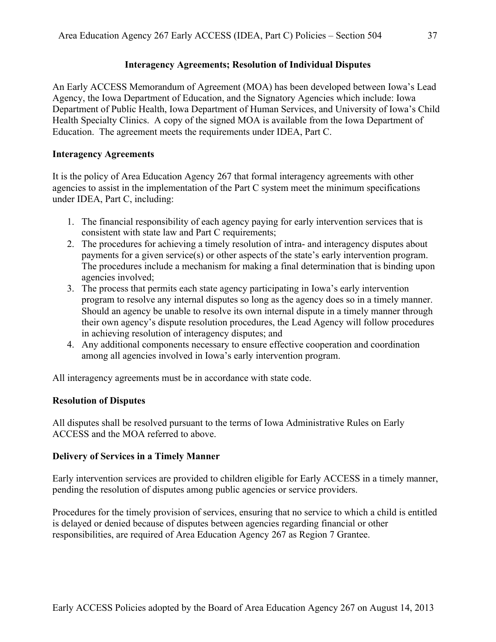# **Interagency Agreements; Resolution of Individual Disputes**

An Early ACCESS Memorandum of Agreement (MOA) has been developed between Iowa's Lead Agency, the Iowa Department of Education, and the Signatory Agencies which include: Iowa Department of Public Health, Iowa Department of Human Services, and University of Iowa's Child Health Specialty Clinics. A copy of the signed MOA is available from the Iowa Department of Education. The agreement meets the requirements under IDEA, Part C.

# **Interagency Agreements**

It is the policy of Area Education Agency 267 that formal interagency agreements with other agencies to assist in the implementation of the Part C system meet the minimum specifications under IDEA, Part C, including:

- 1. The financial responsibility of each agency paying for early intervention services that is consistent with state law and Part C requirements;
- 2. The procedures for achieving a timely resolution of intra- and interagency disputes about payments for a given service(s) or other aspects of the state's early intervention program. The procedures include a mechanism for making a final determination that is binding upon agencies involved;
- 3. The process that permits each state agency participating in Iowa's early intervention program to resolve any internal disputes so long as the agency does so in a timely manner. Should an agency be unable to resolve its own internal dispute in a timely manner through their own agency's dispute resolution procedures, the Lead Agency will follow procedures in achieving resolution of interagency disputes; and
- 4. Any additional components necessary to ensure effective cooperation and coordination among all agencies involved in Iowa's early intervention program.

All interagency agreements must be in accordance with state code.

# **Resolution of Disputes**

All disputes shall be resolved pursuant to the terms of Iowa Administrative Rules on Early ACCESS and the MOA referred to above.

# **Delivery of Services in a Timely Manner**

Early intervention services are provided to children eligible for Early ACCESS in a timely manner, pending the resolution of disputes among public agencies or service providers.

Procedures for the timely provision of services, ensuring that no service to which a child is entitled is delayed or denied because of disputes between agencies regarding financial or other responsibilities, are required of Area Education Agency 267 as Region 7 Grantee.